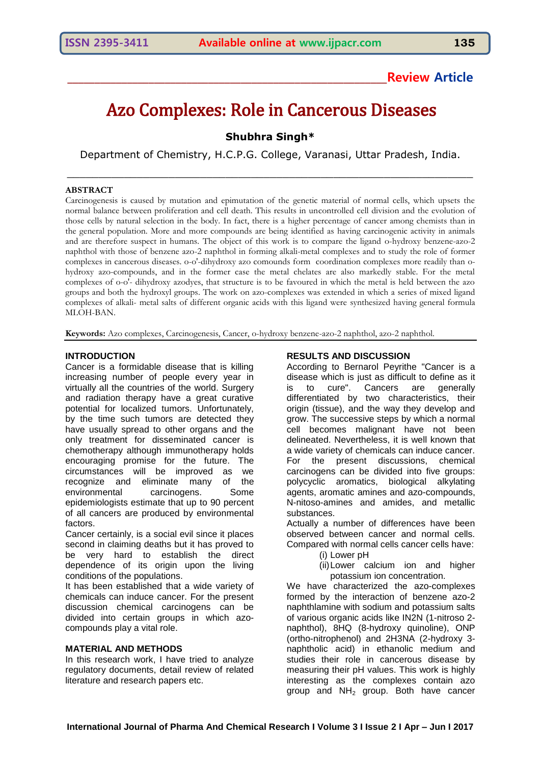# Azo Complexes: Role in Cancerous Diseases

**Shubhra Singh\***

Department of Chemistry, H.C.P.G. College, Varanasi, Uttar Pradesh, India.

\_\_\_\_\_\_\_\_\_\_\_\_\_\_\_\_\_\_\_\_\_\_\_\_\_\_\_\_\_\_\_\_\_\_\_\_\_\_\_\_\_\_\_\_\_\_\_\_\_\_\_\_\_\_\_\_\_\_\_\_\_\_\_\_

## **ABSTRACT**

Carcinogenesis is caused by mutation and epimutation of the genetic material of normal cells, which upsets the normal balance between proliferation and cell death. This results in uncontrolled cell division and the evolution of those cells by natural selection in the body. In fact, there is a higher percentage of cancer among chemists than in the general population. More and more compounds are being identified as having carcinogenic activity in animals and are therefore suspect in humans. The object of this work is to compare the ligand o-hydroxy benzene-azo-2 naphthol with those of benzene azo-2 naphthol in forming alkali-metal complexes and to study the role of former complexes in cancerous diseases. o-o'-dihydroxy azo comounds form coordination complexes more readily than ohydroxy azo-compounds, and in the former case the metal chelates are also markedly stable. For the metal complexes of o-o'- dihydroxy azodyes, that structure is to be favoured in which the metal is held between the azo groups and both the hydroxyl groups. The work on azo-complexes was extended in which a series of mixed ligand complexes of alkali- metal salts of different organic acids with this ligand were synthesized having general formula MLOH-BAN.

**Keywords:** Azo complexes, Carcinogenesis, Cancer, o-hydroxy benzene-azo-2 naphthol, azo-2 naphthol.

## **INTRODUCTION**

Cancer is a formidable disease that is killing increasing number of people every year in virtually all the countries of the world. Surgery and radiation therapy have a great curative potential for localized tumors. Unfortunately, by the time such tumors are detected they have usually spread to other organs and the only treatment for disseminated cancer is chemotherapy although immunotherapy holds encouraging promise for the future. The circumstances will be improved as we recognize and eliminate many of the environmental carcinogens. Some epidemiologists estimate that up to 90 percent of all cancers are produced by environmental factors.

Cancer certainly, is a social evil since it places second in claiming deaths but it has proved to be very hard to establish the direct dependence of its origin upon the living conditions of the populations.

It has been established that a wide variety of chemicals can induce cancer. For the present discussion chemical carcinogens can be divided into certain groups in which azocompounds play a vital role.

## **MATERIAL AND METHODS**

In this research work, I have tried to analyze regulatory documents, detail review of related literature and research papers etc.

## **RESULTS AND DISCUSSION**

According to Bernarol Peyrithe "Cancer is a disease which is just as difficult to define as it is to cure". Cancers are generally differentiated by two characteristics, their origin (tissue), and the way they develop and grow. The successive steps by which a normal cell becomes malignant have not been delineated. Nevertheless, it is well known that a wide variety of chemicals can induce cancer. For the present discussions, chemical carcinogens can be divided into five groups: polycyclic aromatics, biological alkylating agents, aromatic amines and azo-compounds, N-nitoso-amines and amides, and metallic substances.

Actually a number of differences have been observed between cancer and normal cells. Compared with normal cells cancer cells have:

(i) Lower pH

(ii)Lower calcium ion and higher potassium ion concentration.

We have characterized the azo-complexes formed by the interaction of benzene azo-2 naphthlamine with sodium and potassium salts of various organic acids like IN2N (1-nitroso 2 naphthol), 8HQ (8-hydroxy quinoline), ONP (ortho-nitrophenol) and 2H3NA (2-hydroxy 3 naphtholic acid) in ethanolic medium and studies their role in cancerous disease by measuring their pH values. This work is highly interesting as the complexes contain azo group and  $NH<sub>2</sub>$  group. Both have cancer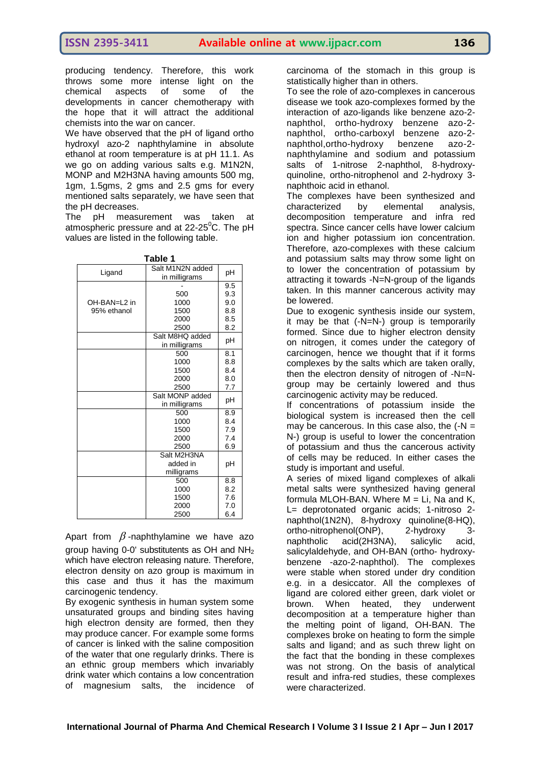producing tendency. Therefore, this work throws some more intense light on the chemical aspects of some of the developments in cancer chemotherapy with the hope that it will attract the additional chemists into the war on cancer.

We have observed that the pH of ligand ortho hydroxyl azo-2 naphthylamine in absolute ethanol at room temperature is at pH 11.1. As we go on adding various salts e.g. M1N2N, MONP and M2H3NA having amounts 500 mg, 1gm, 1.5gms, 2 gms and 2.5 gms for every mentioned salts separately, we have seen that the pH decreases.

The pH measurement was taken at atmospheric pressure and at  $22-25^{\circ}$ C. The pH values are listed in the following table.

| ×<br>. .<br>۰.<br>×<br>٩ |  |
|--------------------------|--|
|--------------------------|--|

| Ligand       | Salt M1N2N added<br>in milligrams | рH  |
|--------------|-----------------------------------|-----|
|              |                                   | 9.5 |
|              | 500                               | 9.3 |
| OH-BAN=L2 in | 1000                              | 9.0 |
| 95% ethanol  | 1500                              | 8.8 |
|              | 2000                              | 8.5 |
|              | 2500                              | 8.2 |
|              | Salt M8HQ added<br>in milligrams  | рH  |
|              | 500                               | 8.1 |
|              | 1000                              | 8.8 |
|              | 1500                              | 8.4 |
|              | 2000                              | 8.0 |
|              | 2500                              | 7.7 |
|              | Salt MONP added                   | рH  |
|              | in milligrams                     |     |
|              | 500                               | 8.9 |
|              | 1000                              | 8.4 |
|              | 1500                              | 7.9 |
|              | 2000                              | 7.4 |
|              | 2500                              | 6.9 |
|              | Salt M2H3NA                       |     |
|              | added in                          | рH  |
|              | milligrams                        |     |
|              | 500                               | 8.8 |
|              | 1000                              | 8.2 |
|              | 1500                              | 7.6 |
|              | 2000                              | 7.0 |
|              | 2500                              | 6.4 |

Apart from  $\beta$ -naphthylamine we have azo group having 0-0' substitutents as OH and  $NH<sub>2</sub>$ which have electron releasing nature. Therefore, electron density on azo group is maximum in this case and thus it has the maximum carcinogenic tendency.

By exogenic synthesis in human system some unsaturated groups and binding sites having high electron density are formed, then they may produce cancer. For example some forms of cancer is linked with the saline composition of the water that one regularly drinks. There is an ethnic group members which invariably drink water which contains a low concentration of magnesium salts, the incidence of

carcinoma of the stomach in this group is statistically higher than in others.

To see the role of azo-complexes in cancerous disease we took azo-complexes formed by the interaction of azo-ligands like benzene azo-2 naphthol, ortho-hydroxy benzene azo-2 naphthol, ortho-carboxyl benzene azo-2 naphthol,ortho-hydroxy benzene azo-2 naphthylamine and sodium and potassium salts of 1-nitrose 2-naphthol, 8-hydroxyquinoline, ortho-nitrophenol and 2-hydroxy 3 naphthoic acid in ethanol.

The complexes have been synthesized and characterized by elemental analysis, decomposition temperature and infra red spectra. Since cancer cells have lower calcium ion and higher potassium ion concentration. Therefore, azo-complexes with these calcium and potassium salts may throw some light on to lower the concentration of potassium by attracting it towards -N=N-group of the ligands taken. In this manner cancerous activity may be lowered.

Due to exogenic synthesis inside our system, it may be that (-N=N-) group is temporarily formed. Since due to higher electron density on nitrogen, it comes under the category of carcinogen, hence we thought that if it forms complexes by the salts which are taken orally, then the electron density of nitrogen of -N=Ngroup may be certainly lowered and thus carcinogenic activity may be reduced.

If concentrations of potassium inside the biological system is increased then the cell may be cancerous. In this case also, the  $(-N =$ N-) group is useful to lower the concentration of potassium and thus the cancerous activity of cells may be reduced. In either cases the study is important and useful.

A series of mixed ligand complexes of alkali metal salts were synthesized having general formula MLOH-BAN. Where  $M = Li$ , Na and K, L= deprotonated organic acids; 1-nitroso 2 naphthol(1N2N), 8-hydroxy quinoline(8-HQ), ortho-nitrophenol(ONP), 2-hydroxy 3 naphtholic acid(2H3NA), salicylic acid, salicylaldehyde, and OH-BAN (ortho- hydroxybenzene -azo-2-naphthol). The complexes were stable when stored under dry condition e.g. in a desiccator. All the complexes of ligand are colored either green, dark violet or brown. When heated, they underwent decomposition at a temperature higher than the melting point of ligand, OH-BAN. The complexes broke on heating to form the simple salts and ligand; and as such threw light on the fact that the bonding in these complexes was not strong. On the basis of analytical result and infra-red studies, these complexes were characterized.